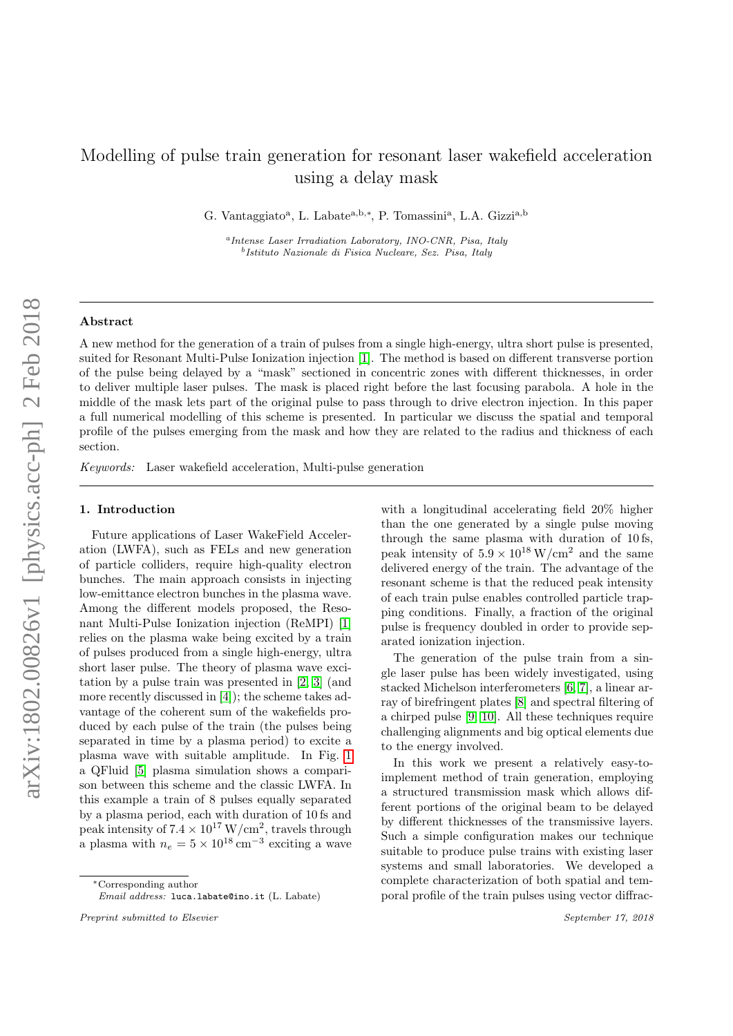# Modelling of pulse train generation for resonant laser wakefield acceleration using a delay mask

G. Vantaggiato<sup>a</sup>, L. Labate<sup>a,b,\*</sup>, P. Tomassini<sup>a</sup>, L.A. Gizzi<sup>a,b</sup>

a Intense Laser Irradiation Laboratory, INO-CNR, Pisa, Italy b Istituto Nazionale di Fisica Nucleare, Sez. Pisa, Italy

### Abstract

A new method for the generation of a train of pulses from a single high-energy, ultra short pulse is presented, suited for Resonant Multi-Pulse Ionization injection [\[1\]](#page-3-0). The method is based on different transverse portion of the pulse being delayed by a "mask" sectioned in concentric zones with different thicknesses, in order to deliver multiple laser pulses. The mask is placed right before the last focusing parabola. A hole in the middle of the mask lets part of the original pulse to pass through to drive electron injection. In this paper a full numerical modelling of this scheme is presented. In particular we discuss the spatial and temporal profile of the pulses emerging from the mask and how they are related to the radius and thickness of each section.

Keywords: Laser wakefield acceleration, Multi-pulse generation

#### 1. Introduction

Future applications of Laser WakeField Acceleration (LWFA), such as FELs and new generation of particle colliders, require high-quality electron bunches. The main approach consists in injecting low-emittance electron bunches in the plasma wave. Among the different models proposed, the Resonant Multi-Pulse Ionization injection (ReMPI) [\[1\]](#page-3-0) relies on the plasma wake being excited by a train of pulses produced from a single high-energy, ultra short laser pulse. The theory of plasma wave excitation by a pulse train was presented in [\[2,](#page-3-1) [3\]](#page-4-0) (and more recently discussed in [\[4\]](#page-4-1)); the scheme takes advantage of the coherent sum of the wakefields produced by each pulse of the train (the pulses being separated in time by a plasma period) to excite a plasma wave with suitable amplitude. In Fig. [1](#page-1-0) a QFluid [\[5\]](#page-4-2) plasma simulation shows a comparison between this scheme and the classic LWFA. In this example a train of 8 pulses equally separated by a plasma period, each with duration of 10 fs and peak intensity of  $7.4 \times 10^{17}$  W/cm<sup>2</sup>, travels through a plasma with  $n_e = 5 \times 10^{18} \text{ cm}^{-3}$  exciting a wave

with a longitudinal accelerating field 20% higher than the one generated by a single pulse moving through the same plasma with duration of 10 fs, peak intensity of  $5.9 \times 10^{18}$  W/cm<sup>2</sup> and the same delivered energy of the train. The advantage of the resonant scheme is that the reduced peak intensity of each train pulse enables controlled particle trapping conditions. Finally, a fraction of the original pulse is frequency doubled in order to provide separated ionization injection.

The generation of the pulse train from a single laser pulse has been widely investigated, using stacked Michelson interferometers [\[6,](#page-4-3) [7\]](#page-4-4), a linear array of birefringent plates [\[8\]](#page-4-5) and spectral filtering of a chirped pulse [\[9,](#page-4-6) [10\]](#page-4-7). All these techniques require challenging alignments and big optical elements due to the energy involved.

In this work we present a relatively easy-toimplement method of train generation, employing a structured transmission mask which allows different portions of the original beam to be delayed by different thicknesses of the transmissive layers. Such a simple configuration makes our technique suitable to produce pulse trains with existing laser systems and small laboratories. We developed a complete characterization of both spatial and temporal profile of the train pulses using vector diffrac-

<sup>∗</sup>Corresponding author

Email address: luca.labate@ino.it (L. Labate)

Preprint submitted to Elsevier September 17, 2018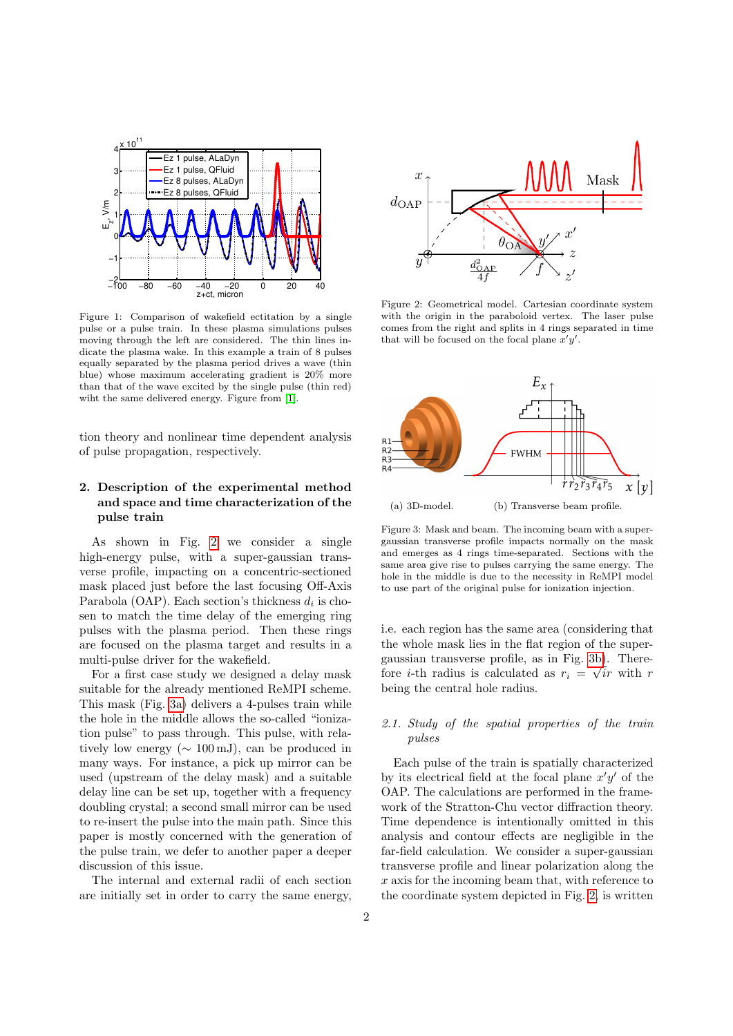<span id="page-1-0"></span>

Figure 1: Comparison of wakefield ectitation by a single pulse or a pulse train. In these plasma simulations pulses moving through the left are considered. The thin lines indicate the plasma wake. In this example a train of 8 pulses equally separated by the plasma period drives a wave (thin blue) whose maximum accelerating gradient is 20% more than that of the wave excited by the single pulse (thin red) wiht the same delivered energy. Figure from [\[1\]](#page-3-0).

tion theory and nonlinear time dependent analysis of pulse propagation, respectively.

### 2. Description of the experimental method and space and time characterization of the pulse train

As shown in Fig. [2](#page-1-1) we consider a single high-energy pulse, with a super-gaussian transverse profile, impacting on a concentric-sectioned mask placed just before the last focusing Off-Axis Parabola (OAP). Each section's thickness  $d_i$  is chosen to match the time delay of the emerging ring pulses with the plasma period. Then these rings are focused on the plasma target and results in a multi-pulse driver for the wakefield.

For a first case study we designed a delay mask suitable for the already mentioned ReMPI scheme. This mask (Fig. [3a\)](#page-1-2) delivers a 4-pulses train while the hole in the middle allows the so-called "ionization pulse" to pass through. This pulse, with relatively low energy ( $\sim 100 \,\mathrm{mJ}$ ), can be produced in many ways. For instance, a pick up mirror can be used (upstream of the delay mask) and a suitable delay line can be set up, together with a frequency doubling crystal; a second small mirror can be used to re-insert the pulse into the main path. Since this paper is mostly concerned with the generation of the pulse train, we defer to another paper a deeper discussion of this issue.

The internal and external radii of each section are initially set in order to carry the same energy,

<span id="page-1-1"></span>

Figure 2: Geometrical model. Cartesian coordinate system with the origin in the paraboloid vertex. The laser pulse comes from the right and splits in 4 rings separated in time that will be focused on the focal plane  $x'y'$ .

<span id="page-1-2"></span>

<span id="page-1-3"></span>(a) 3D-model. (b) Transverse beam profile.

Figure 3: Mask and beam. The incoming beam with a supergaussian transverse profile impacts normally on the mask and emerges as 4 rings time-separated. Sections with the same area give rise to pulses carrying the same energy. The hole in the middle is due to the necessity in ReMPI model to use part of the original pulse for ionization injection.

i.e. each region has the same area (considering that the whole mask lies in the flat region of the super-gaussian transverse profile, as in Fig. [3b\)](#page-1-3). Therefore *i*-th radius is calculated as  $r_i = \sqrt{ir}$  with r being the central hole radius.

## 2.1. Study of the spatial properties of the train pulses

Each pulse of the train is spatially characterized by its electrical field at the focal plane  $x'y'$  of the OAP. The calculations are performed in the framework of the Stratton-Chu vector diffraction theory. Time dependence is intentionally omitted in this analysis and contour effects are negligible in the far-field calculation. We consider a super-gaussian transverse profile and linear polarization along the  $x$  axis for the incoming beam that, with reference to the coordinate system depicted in Fig. [2,](#page-1-1) is written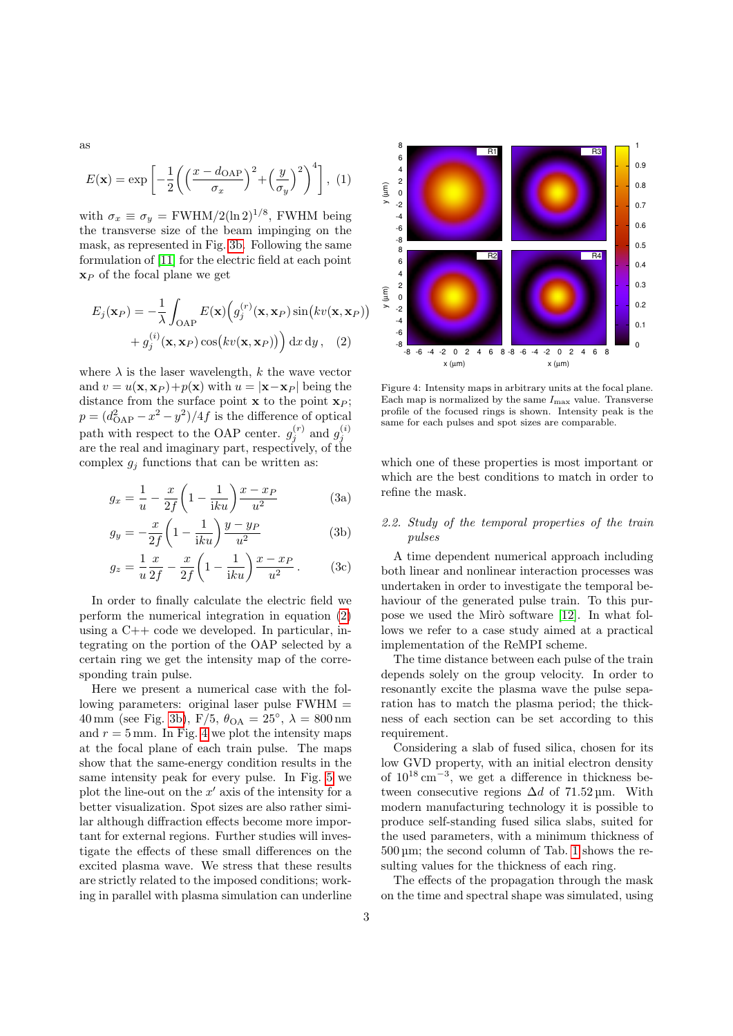as

$$
E(\mathbf{x}) = \exp\left[-\frac{1}{2}\left(\left(\frac{x - d_{\text{OAP}}}{\sigma_x}\right)^2 + \left(\frac{y}{\sigma_y}\right)^2\right)\right], (1)
$$

with  $\sigma_x \equiv \sigma_y = \text{FWHM}/2(\ln 2)^{1/8}$ , FWHM being the transverse size of the beam impinging on the mask, as represented in Fig. [3b.](#page-1-3) Following the same formulation of [\[11\]](#page-4-8) for the electric field at each point  $\mathbf{x}_P$  of the focal plane we get

$$
E_j(\mathbf{x}_P) = -\frac{1}{\lambda} \int_{\text{OAP}} E(\mathbf{x}) \Big( g_j^{(r)}(\mathbf{x}, \mathbf{x}_P) \sin\big(kv(\mathbf{x}, \mathbf{x}_P)\big) + g_j^{(i)}(\mathbf{x}, \mathbf{x}_P) \cos\big(kv(\mathbf{x}, \mathbf{x}_P)\big) \Big) dx dy, \quad (2)
$$

where  $\lambda$  is the laser wavelength, k the wave vector and  $v = u(\mathbf{x}, \mathbf{x}_P) + v(\mathbf{x})$  with  $u = |\mathbf{x}-\mathbf{x}_P|$  being the distance from the surface point  $x$  to the point  $x<sub>P</sub>$ ;  $p = (d_{\text{OAP}}^2 - x^2 - y^2)/4f$  is the difference of optical path with respect to the OAP center.  $g_j^{(r)}$  and  $g_j^{(i)}$ are the real and imaginary part, respectively, of the complex  $g_i$  functions that can be written as:

$$
g_x = \frac{1}{u} - \frac{x}{2f} \left( 1 - \frac{1}{iku} \right) \frac{x - x_P}{u^2}
$$
 (3a)

$$
g_y = -\frac{x}{2f} \left( 1 - \frac{1}{\mathrm{i}ku} \right) \frac{y - y_P}{u^2} \tag{3b}
$$

$$
g_z = \frac{1}{u} \frac{x}{2f} - \frac{x}{2f} \left( 1 - \frac{1}{iku} \right) \frac{x - x_P}{u^2} .
$$
 (3c)

In order to finally calculate the electric field we perform the numerical integration in equation [\(2\)](#page-2-0) using a C++ code we developed. In particular, integrating on the portion of the OAP selected by a certain ring we get the intensity map of the corresponding train pulse.

Here we present a numerical case with the following parameters: original laser pulse FWHM =  $40 \text{ mm}$  (see Fig. [3b\)](#page-1-3),  $F/5$ ,  $\theta_{OA} = 25^{\circ}$ ,  $\lambda = 800 \text{ nm}$ and  $r = 5$  mm. In Fig. [4](#page-2-1) we plot the intensity maps at the focal plane of each train pulse. The maps show that the same-energy condition results in the same intensity peak for every pulse. In Fig. [5](#page-3-2) we plot the line-out on the  $x'$  axis of the intensity for a better visualization. Spot sizes are also rather similar although diffraction effects become more important for external regions. Further studies will investigate the effects of these small differences on the excited plasma wave. We stress that these results are strictly related to the imposed conditions; working in parallel with plasma simulation can underline

<span id="page-2-1"></span>

<span id="page-2-0"></span>Figure 4: Intensity maps in arbitrary units at the focal plane. Each map is normalized by the same  $I_{\rm max}$  value. Transverse profile of the focused rings is shown. Intensity peak is the same for each pulses and spot sizes are comparable.

which one of these properties is most important or which are the best conditions to match in order to refine the mask.

### 2.2. Study of the temporal properties of the train pulses

A time dependent numerical approach including both linear and nonlinear interaction processes was undertaken in order to investigate the temporal behaviour of the generated pulse train. To this purpose we used the Mir $\delta$  software [\[12\]](#page-4-9). In what follows we refer to a case study aimed at a practical implementation of the ReMPI scheme.

The time distance between each pulse of the train depends solely on the group velocity. In order to resonantly excite the plasma wave the pulse separation has to match the plasma period; the thickness of each section can be set according to this requirement.

Considering a slab of fused silica, chosen for its low GVD property, with an initial electron density of  $10^{18}$  cm<sup>-3</sup>, we get a difference in thickness between consecutive regions  $\Delta d$  of 71.52 µm. With modern manufacturing technology it is possible to produce self-standing fused silica slabs, suited for the used parameters, with a minimum thickness of 500 µm; the second column of Tab. [1](#page-3-3) shows the resulting values for the thickness of each ring.

The effects of the propagation through the mask on the time and spectral shape was simulated, using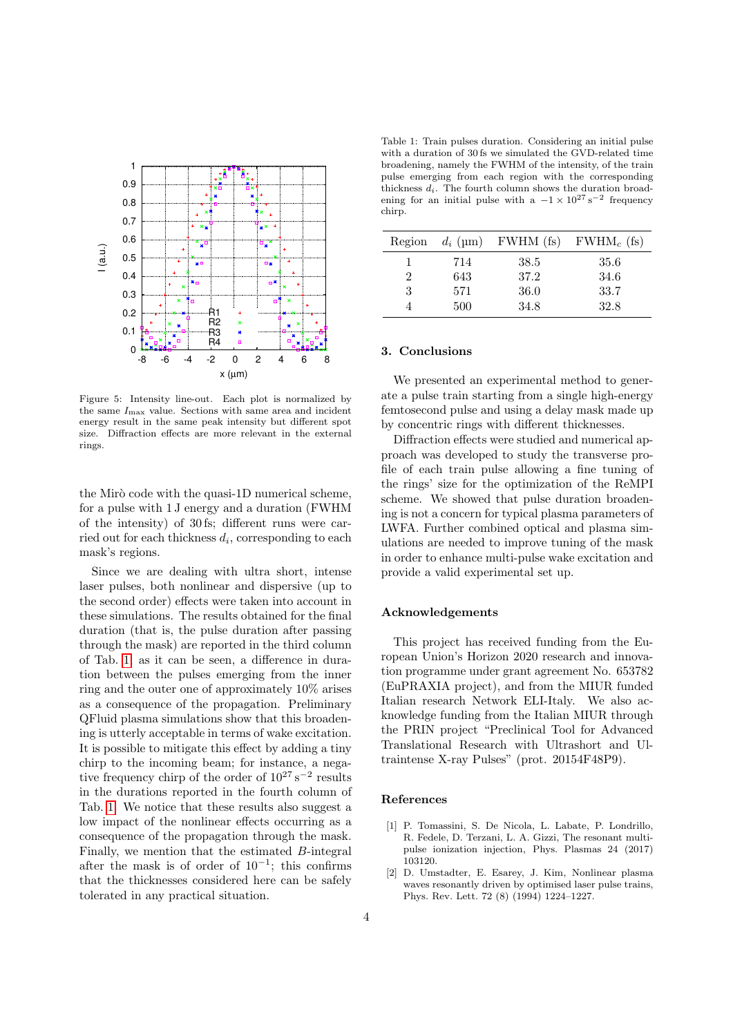<span id="page-3-2"></span>

Figure 5: Intensity line-out. Each plot is normalized by the same  $I_{\text{max}}$  value. Sections with same area and incident energy result in the same peak intensity but different spot size. Diffraction effects are more relevant in the external rings.

the Mirò code with the quasi-1D numerical scheme. for a pulse with 1 J energy and a duration (FWHM of the intensity) of 30 fs; different runs were carried out for each thickness  $d_i$ , corresponding to each mask's regions.

Since we are dealing with ultra short, intense laser pulses, both nonlinear and dispersive (up to the second order) effects were taken into account in these simulations. The results obtained for the final duration (that is, the pulse duration after passing through the mask) are reported in the third column of Tab. [1;](#page-3-3) as it can be seen, a difference in duration between the pulses emerging from the inner ring and the outer one of approximately 10% arises as a consequence of the propagation. Preliminary QFluid plasma simulations show that this broadening is utterly acceptable in terms of wake excitation. It is possible to mitigate this effect by adding a tiny chirp to the incoming beam; for instance, a negative frequency chirp of the order of  $10^{27} s^{-2}$  results in the durations reported in the fourth column of Tab. [1.](#page-3-3) We notice that these results also suggest a low impact of the nonlinear effects occurring as a consequence of the propagation through the mask. Finally, we mention that the estimated B-integral after the mask is of order of  $10^{-1}$ ; this confirms that the thicknesses considered here can be safely tolerated in any practical situation.

<span id="page-3-3"></span>Table 1: Train pulses duration. Considering an initial pulse with a duration of 30 fs we simulated the GVD-related time broadening, namely the FWHM of the intensity, of the train pulse emerging from each region with the corresponding thickness  $d_i$ . The fourth column shows the duration broadening for an initial pulse with a  $-1 \times 10^{27}$  s<sup>-2</sup> frequency chirp.

| Region         | $d_i$ (µm) | FWHM (fs) | $FWHM_c$ (fs) |
|----------------|------------|-----------|---------------|
|                | 714        | 38.5      | 35.6          |
| $\overline{2}$ | 643        | 37.2      | 34.6          |
| 3              | 571        | 36.0      | 33.7          |
| 4              | 500        | 34.8      | 32.8          |

#### 3. Conclusions

We presented an experimental method to generate a pulse train starting from a single high-energy femtosecond pulse and using a delay mask made up by concentric rings with different thicknesses.

Diffraction effects were studied and numerical approach was developed to study the transverse profile of each train pulse allowing a fine tuning of the rings' size for the optimization of the ReMPI scheme. We showed that pulse duration broadening is not a concern for typical plasma parameters of LWFA. Further combined optical and plasma simulations are needed to improve tuning of the mask in order to enhance multi-pulse wake excitation and provide a valid experimental set up.

#### Acknowledgements

This project has received funding from the European Union's Horizon 2020 research and innovation programme under grant agreement No. 653782 (EuPRAXIA project), and from the MIUR funded Italian research Network ELI-Italy. We also acknowledge funding from the Italian MIUR through the PRIN project "Preclinical Tool for Advanced Translational Research with Ultrashort and Ultraintense X-ray Pulses" (prot. 20154F48P9).

#### References

- <span id="page-3-0"></span>[1] P. Tomassini, S. De Nicola, L. Labate, P. Londrillo, R. Fedele, D. Terzani, L. A. Gizzi, The resonant multipulse ionization injection, Phys. Plasmas 24 (2017) 103120.
- <span id="page-3-1"></span>[2] D. Umstadter, E. Esarey, J. Kim, Nonlinear plasma waves resonantly driven by optimised laser pulse trains, Phys. Rev. Lett. 72 (8) (1994) 1224–1227.